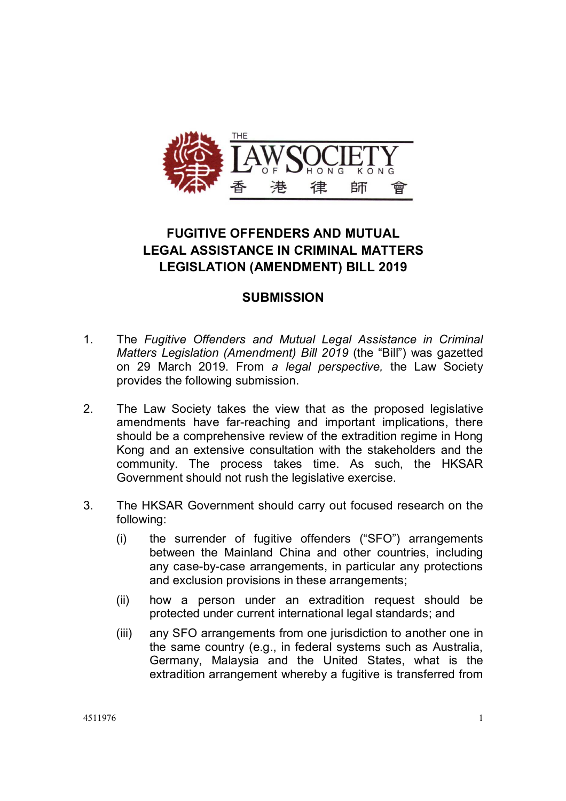

# **FUGITIVE OFFENDERS AND MUTUAL LEGAL ASSISTANCE IN CRIMINAL MATTERS LEGISLATION (AMENDMENT) BILL 2019**

## **SUBMISSION**

- 1. The *Fugitive Offenders and Mutual Legal Assistance in Criminal Matters Legislation (Amendment) Bill 2019* (the "Bill") was gazetted on 29 March 2019. From *a legal perspective,* the Law Society provides the following submission.
- 2. The Law Society takes the view that as the proposed legislative amendments have far-reaching and important implications, there should be a comprehensive review of the extradition regime in Hong Kong and an extensive consultation with the stakeholders and the community. The process takes time. As such, the HKSAR Government should not rush the legislative exercise.
- 3. The HKSAR Government should carry out focused research on the following:
	- (i) the surrender of fugitive offenders ("SFO") arrangements between the Mainland China and other countries, including any case-by-case arrangements, in particular any protections and exclusion provisions in these arrangements;
	- (ii) how a person under an extradition request should be protected under current international legal standards; and
	- (iii) any SFO arrangements from one jurisdiction to another one in the same country (e.g., in federal systems such as Australia, Germany, Malaysia and the United States, what is the extradition arrangement whereby a fugitive is transferred from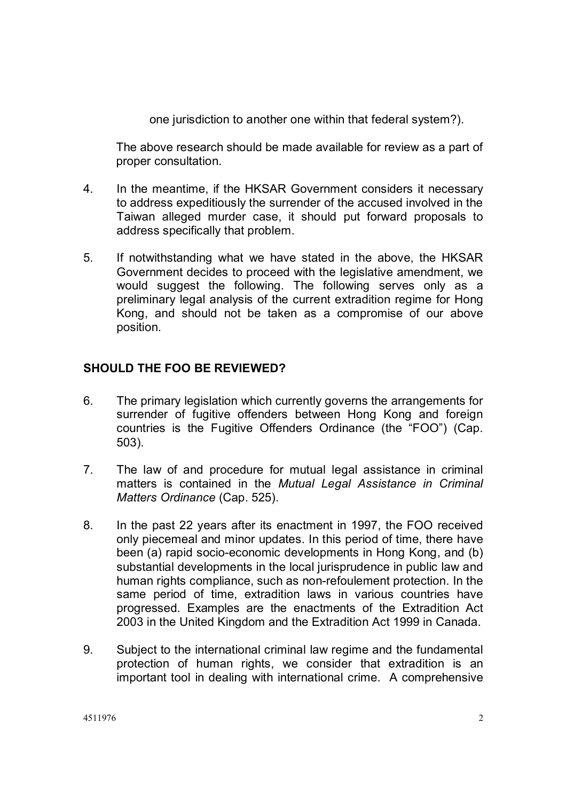one jurisdiction to another one within that federal system?).

The above research should be made available for review as a part of proper consultation.

- 4. In the meantime, if the HKSAR Government considers it necessary to address expeditiously the surrender of the accused involved in the Taiwan alleged murder case, it should put forward proposals to address specifically that problem.
- 5. If notwithstanding what we have stated in the above, the HKSAR Government decides to proceed with the legislative amendment, we would suggest the following. The following serves only as a preliminary legal analysis of the current extradition regime for Hong Kong, and should not be taken as a compromise of our above position.

## **SHOULD THE FOO BE REVIEWED?**

- 6. The primary legislation which currently governs the arrangements for surrender of fugitive offenders between Hong Kong and foreign countries is the Fugitive Offenders Ordinance (the "FOO") (Cap. 503).
- 7. The law of and procedure for mutual legal assistance in criminal matters is contained in the *Mutual Legal Assistance in Criminal Matters Ordinance* (Cap. 525).
- 8. In the past 22 years after its enactment in 1997, the FOO received only piecemeal and minor updates. In this period of time, there have been (a) rapid socio-economic developments in Hong Kong, and (b) substantial developments in the local jurisprudence in public law and human rights compliance, such as non-refoulement protection. In the same period of time, extradition laws in various countries have progressed. Examples are the enactments of the Extradition Act 2003 in the United Kingdom and the Extradition Act 1999 in Canada.
- 9. Subject to the international criminal law regime and the fundamental protection of human rights, we consider that extradition is an important tool in dealing with international crime. A comprehensive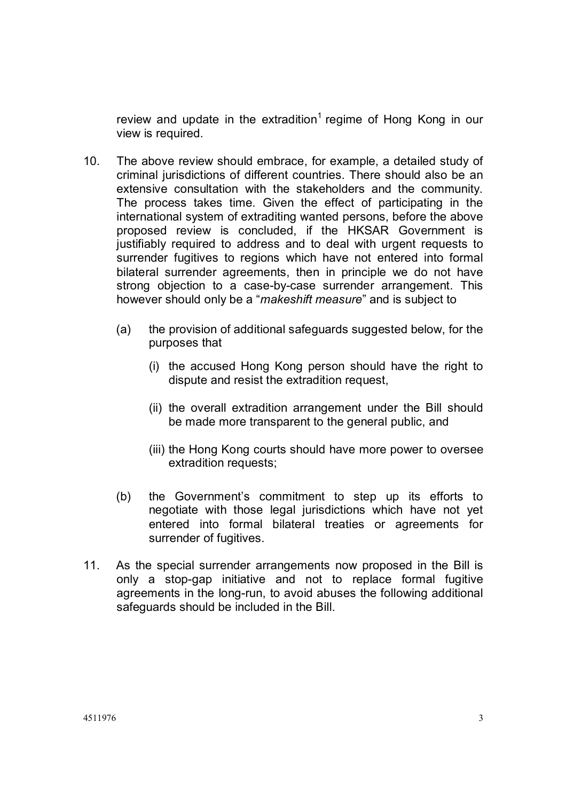review and update in the extradition<sup>1</sup> regime of Hong Kong in our view is required.

- 10. The above review should embrace, for example, a detailed study of criminal jurisdictions of different countries. There should also be an extensive consultation with the stakeholders and the community. The process takes time. Given the effect of participating in the international system of extraditing wanted persons, before the above proposed review is concluded, if the HKSAR Government is justifiably required to address and to deal with urgent requests to surrender fugitives to regions which have not entered into formal bilateral surrender agreements, then in principle we do not have strong objection to a case-by-case surrender arrangement. This however should only be a "*makeshift measure*" and is subject to
	- (a) the provision of additional safeguards suggested below, for the purposes that
		- (i) the accused Hong Kong person should have the right to dispute and resist the extradition request,
		- (ii) the overall extradition arrangement under the Bill should be made more transparent to the general public, and
		- (iii) the Hong Kong courts should have more power to oversee extradition requests;
	- (b) the Government's commitment to step up its efforts to negotiate with those legal jurisdictions which have not yet entered into formal bilateral treaties or agreements for surrender of fugitives.
- 11. As the special surrender arrangements now proposed in the Bill is only a stop-gap initiative and not to replace formal fugitive agreements in the long-run, to avoid abuses the following additional safeguards should be included in the Bill.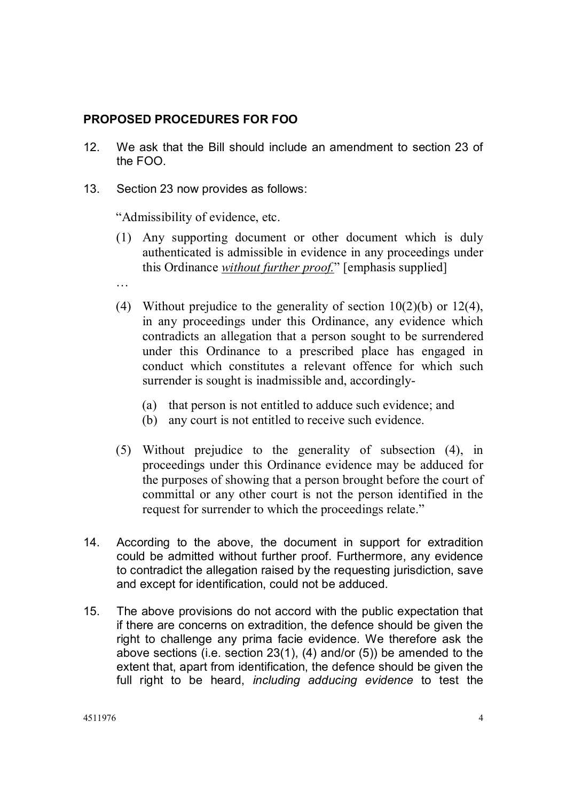## **PROPOSED PROCEDURES FOR FOO**

- 12. We ask that the Bill should include an amendment to section 23 of the FOO.
- 13. Section 23 now provides as follows:

"Admissibility of evidence, etc.

- (1) Any supporting document or other document which is duly authenticated is admissible in evidence in any proceedings under this Ordinance *without further proof.*" [emphasis supplied]
- …
- (4) Without prejudice to the generality of section  $10(2)(b)$  or  $12(4)$ , in any proceedings under this Ordinance, any evidence which contradicts an allegation that a person sought to be surrendered under this Ordinance to a prescribed place has engaged in conduct which constitutes a relevant offence for which such surrender is sought is inadmissible and, accordingly-
	- (a) that person is not entitled to adduce such evidence; and
	- (b) any court is not entitled to receive such evidence.
- (5) Without prejudice to the generality of subsection (4), in proceedings under this Ordinance evidence may be adduced for the purposes of showing that a person brought before the court of committal or any other court is not the person identified in the request for surrender to which the proceedings relate."
- 14. According to the above, the document in support for extradition could be admitted without further proof. Furthermore, any evidence to contradict the allegation raised by the requesting jurisdiction, save and except for identification, could not be adduced.
- 15. The above provisions do not accord with the public expectation that if there are concerns on extradition, the defence should be given the right to challenge any prima facie evidence. We therefore ask the above sections (i.e. section 23(1), (4) and/or (5)) be amended to the extent that, apart from identification, the defence should be given the full right to be heard, *including adducing evidence* to test the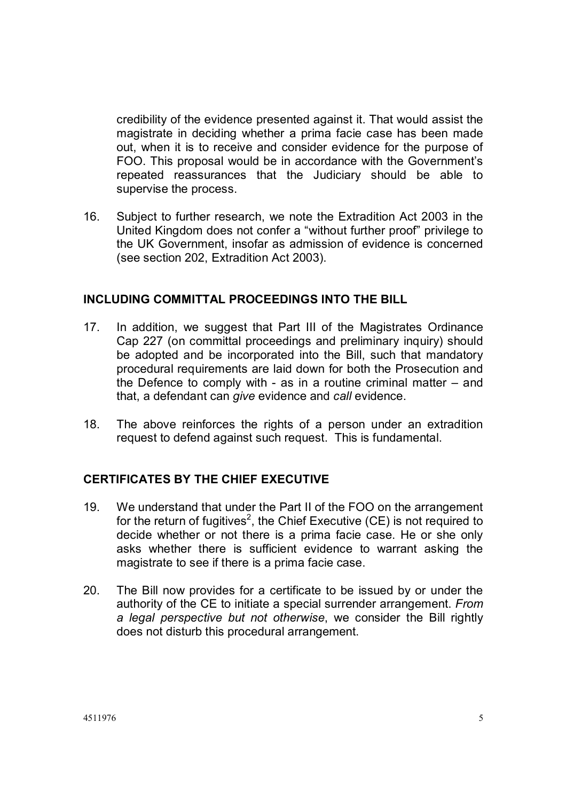credibility of the evidence presented against it. That would assist the magistrate in deciding whether a prima facie case has been made out, when it is to receive and consider evidence for the purpose of FOO. This proposal would be in accordance with the Government's repeated reassurances that the Judiciary should be able to supervise the process.

16. Subject to further research, we note the Extradition Act 2003 in the United Kingdom does not confer a "without further proof" privilege to the UK Government, insofar as admission of evidence is concerned (see section 202, Extradition Act 2003).

#### **INCLUDING COMMITTAL PROCEEDINGS INTO THE BILL**

- 17. In addition, we suggest that Part III of the Magistrates Ordinance Cap 227 (on committal proceedings and preliminary inquiry) should be adopted and be incorporated into the Bill, such that mandatory procedural requirements are laid down for both the Prosecution and the Defence to comply with - as in a routine criminal matter – and that, a defendant can *give* evidence and *call* evidence.
- 18. The above reinforces the rights of a person under an extradition request to defend against such request. This is fundamental.

## **CERTIFICATES BY THE CHIEF EXECUTIVE**

- 19. We understand that under the Part II of the FOO on the arrangement for the return of fugitives<sup>2</sup>, the Chief Executive (CE) is not required to decide whether or not there is a prima facie case. He or she only asks whether there is sufficient evidence to warrant asking the magistrate to see if there is a prima facie case.
- 20. The Bill now provides for a certificate to be issued by or under the authority of the CE to initiate a special surrender arrangement. *From a legal perspective but not otherwise*, we consider the Bill rightly does not disturb this procedural arrangement.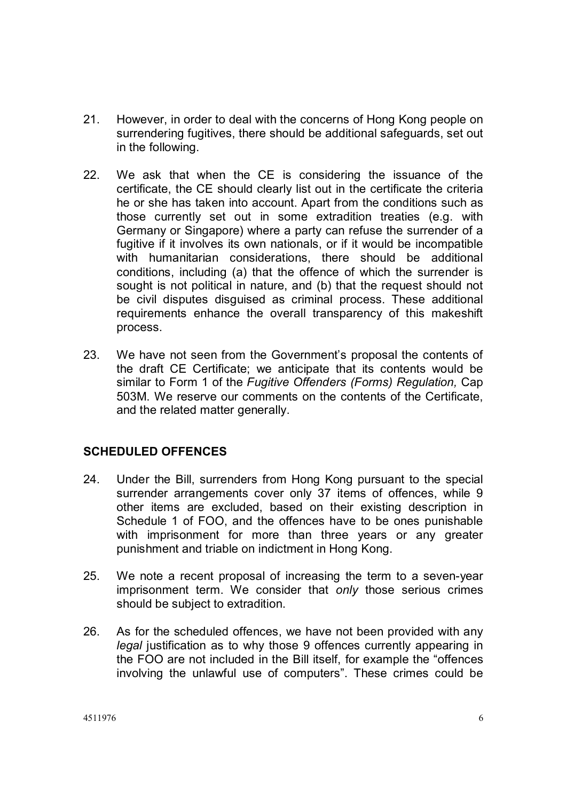- 21. However, in order to deal with the concerns of Hong Kong people on surrendering fugitives, there should be additional safeguards, set out in the following.
- 22. We ask that when the CE is considering the issuance of the certificate, the CE should clearly list out in the certificate the criteria he or she has taken into account. Apart from the conditions such as those currently set out in some extradition treaties (e.g. with Germany or Singapore) where a party can refuse the surrender of a fugitive if it involves its own nationals, or if it would be incompatible with humanitarian considerations, there should be additional conditions, including (a) that the offence of which the surrender is sought is not political in nature, and (b) that the request should not be civil disputes disguised as criminal process. These additional requirements enhance the overall transparency of this makeshift process.
- 23. We have not seen from the Government's proposal the contents of the draft CE Certificate; we anticipate that its contents would be similar to Form 1 of the *Fugitive Offenders (Forms) Regulation,* Cap 503M. We reserve our comments on the contents of the Certificate, and the related matter generally.

## **SCHEDULED OFFENCES**

- 24. Under the Bill, surrenders from Hong Kong pursuant to the special surrender arrangements cover only 37 items of offences, while 9 other items are excluded, based on their existing description in Schedule 1 of FOO, and the offences have to be ones punishable with imprisonment for more than three years or any greater punishment and triable on indictment in Hong Kong.
- 25. We note a recent proposal of increasing the term to a seven-year imprisonment term. We consider that *only* those serious crimes should be subject to extradition.
- 26. As for the scheduled offences, we have not been provided with any *legal* justification as to why those 9 offences currently appearing in the FOO are not included in the Bill itself, for example the "offences involving the unlawful use of computers". These crimes could be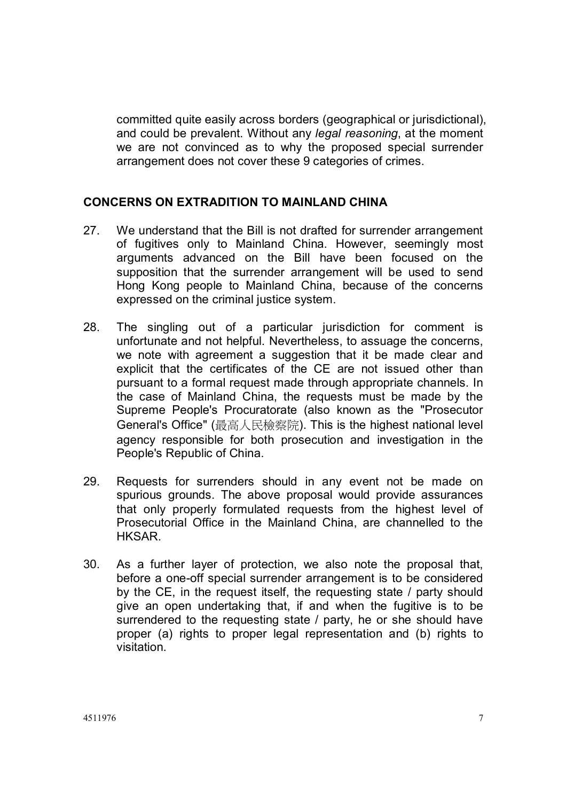committed quite easily across borders (geographical or jurisdictional), and could be prevalent. Without any *legal reasoning*, at the moment we are not convinced as to why the proposed special surrender arrangement does not cover these 9 categories of crimes.

#### **CONCERNS ON EXTRADITION TO MAINLAND CHINA**

- 27. We understand that the Bill is not drafted for surrender arrangement of fugitives only to Mainland China. However, seemingly most arguments advanced on the Bill have been focused on the supposition that the surrender arrangement will be used to send Hong Kong people to Mainland China, because of the concerns expressed on the criminal justice system.
- 28. The singling out of a particular jurisdiction for comment is unfortunate and not helpful. Nevertheless, to assuage the concerns, we note with agreement a suggestion that it be made clear and explicit that the certificates of the CE are not issued other than pursuant to a formal request made through appropriate channels. In the case of Mainland China, the requests must be made by the Supreme People's Procuratorate (also known as the "Prosecutor General's Office" (最高人民檢察院). This is the highest national level agency responsible for both prosecution and investigation in the People's Republic of China.
- 29. Requests for surrenders should in any event not be made on spurious grounds. The above proposal would provide assurances that only properly formulated requests from the highest level of Prosecutorial Office in the Mainland China, are channelled to the HKSAR.
- 30. As a further layer of protection, we also note the proposal that, before a one-off special surrender arrangement is to be considered by the CE, in the request itself, the requesting state / party should give an open undertaking that, if and when the fugitive is to be surrendered to the requesting state / party, he or she should have proper (a) rights to proper legal representation and (b) rights to visitation.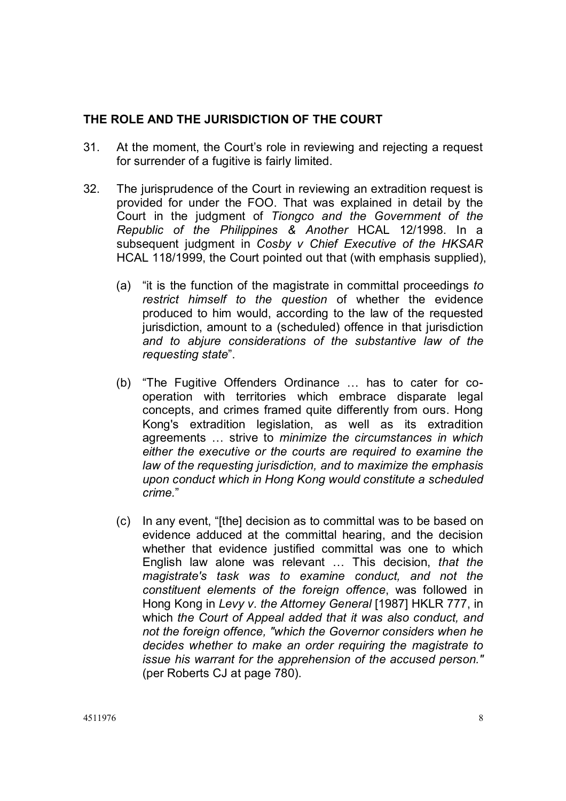### **THE ROLE AND THE JURISDICTION OF THE COURT**

- 31. At the moment, the Court's role in reviewing and rejecting a request for surrender of a fugitive is fairly limited.
- 32. The jurisprudence of the Court in reviewing an extradition request is provided for under the FOO. That was explained in detail by the Court in the judgment of *Tiongco and the Government of the Republic of the Philippines & Another* HCAL 12/1998. In a subsequent judgment in *Cosby v Chief Executive of the HKSAR* HCAL 118/1999, the Court pointed out that (with emphasis supplied),
	- (a) "it is the function of the magistrate in committal proceedings *to restrict himself to the question* of whether the evidence produced to him would, according to the law of the requested jurisdiction, amount to a (scheduled) offence in that jurisdiction *and to abjure considerations of the substantive law of the requesting state*".
	- (b) "The Fugitive Offenders Ordinance … has to cater for cooperation with territories which embrace disparate legal concepts, and crimes framed quite differently from ours. Hong Kong's extradition legislation, as well as its extradition agreements … strive to *minimize the circumstances in which either the executive or the courts are required to examine the law of the requesting jurisdiction, and to maximize the emphasis upon conduct which in Hong Kong would constitute a scheduled crime.*"
	- (c) In any event, "[the] decision as to committal was to be based on evidence adduced at the committal hearing, and the decision whether that evidence justified committal was one to which English law alone was relevant … This decision, *that the magistrate's task was to examine conduct, and not the constituent elements of the foreign offence*, was followed in Hong Kong in *Levy v. the Attorney General* [1987] HKLR 777, in which *the Court of Appeal added that it was also conduct, and not the foreign offence, "which the Governor considers when he decides whether to make an order requiring the magistrate to issue his warrant for the apprehension of the accused person."*  (per Roberts CJ at page 780).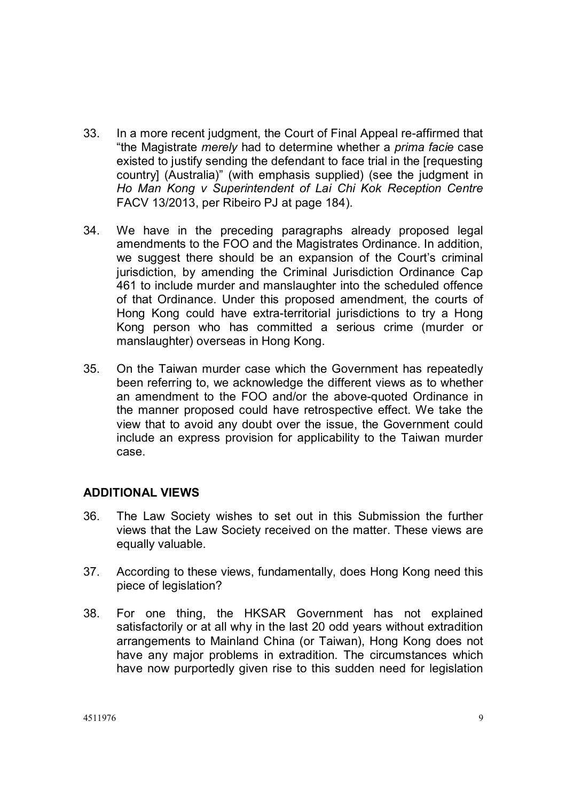- 33. In a more recent judgment, the Court of Final Appeal re-affirmed that "the Magistrate *merely* had to determine whether a *prima facie* case existed to justify sending the defendant to face trial in the [requesting country] (Australia)" (with emphasis supplied) (see the judgment in *Ho Man Kong v Superintendent of Lai Chi Kok Reception Centre*  FACV 13/2013, per Ribeiro PJ at page 184).
- 34. We have in the preceding paragraphs already proposed legal amendments to the FOO and the Magistrates Ordinance. In addition, we suggest there should be an expansion of the Court's criminal jurisdiction, by amending the Criminal Jurisdiction Ordinance Cap 461 to include murder and manslaughter into the scheduled offence of that Ordinance. Under this proposed amendment, the courts of Hong Kong could have extra-territorial jurisdictions to try a Hong Kong person who has committed a serious crime (murder or manslaughter) overseas in Hong Kong.
- 35. On the Taiwan murder case which the Government has repeatedly been referring to, we acknowledge the different views as to whether an amendment to the FOO and/or the above-quoted Ordinance in the manner proposed could have retrospective effect. We take the view that to avoid any doubt over the issue, the Government could include an express provision for applicability to the Taiwan murder case.

#### **ADDITIONAL VIEWS**

- 36. The Law Society wishes to set out in this Submission the further views that the Law Society received on the matter. These views are equally valuable.
- 37. According to these views, fundamentally, does Hong Kong need this piece of legislation?
- 38. For one thing, the HKSAR Government has not explained satisfactorily or at all why in the last 20 odd years without extradition arrangements to Mainland China (or Taiwan), Hong Kong does not have any major problems in extradition. The circumstances which have now purportedly given rise to this sudden need for legislation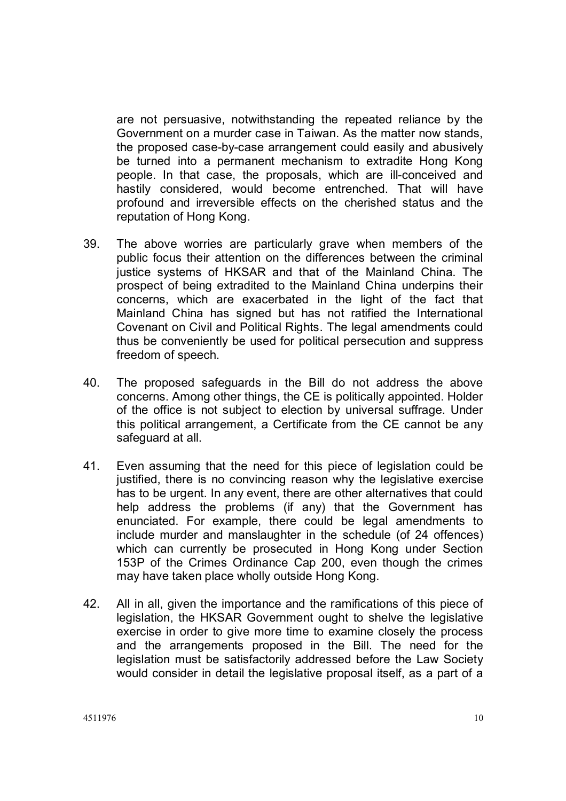are not persuasive, notwithstanding the repeated reliance by the Government on a murder case in Taiwan. As the matter now stands, the proposed case-by-case arrangement could easily and abusively be turned into a permanent mechanism to extradite Hong Kong people. In that case, the proposals, which are ill-conceived and hastily considered, would become entrenched. That will have profound and irreversible effects on the cherished status and the reputation of Hong Kong.

- 39. The above worries are particularly grave when members of the public focus their attention on the differences between the criminal justice systems of HKSAR and that of the Mainland China. The prospect of being extradited to the Mainland China underpins their concerns, which are exacerbated in the light of the fact that Mainland China has signed but has not ratified the International Covenant on Civil and Political Rights. The legal amendments could thus be conveniently be used for political persecution and suppress freedom of speech.
- 40. The proposed safeguards in the Bill do not address the above concerns. Among other things, the CE is politically appointed. Holder of the office is not subject to election by universal suffrage. Under this political arrangement, a Certificate from the CE cannot be any safeguard at all.
- 41. Even assuming that the need for this piece of legislation could be justified, there is no convincing reason why the legislative exercise has to be urgent. In any event, there are other alternatives that could help address the problems (if any) that the Government has enunciated. For example, there could be legal amendments to include murder and manslaughter in the schedule (of 24 offences) which can currently be prosecuted in Hong Kong under Section 153P of the Crimes Ordinance Cap 200, even though the crimes may have taken place wholly outside Hong Kong.
- 42. All in all, given the importance and the ramifications of this piece of legislation, the HKSAR Government ought to shelve the legislative exercise in order to give more time to examine closely the process and the arrangements proposed in the Bill. The need for the legislation must be satisfactorily addressed before the Law Society would consider in detail the legislative proposal itself, as a part of a